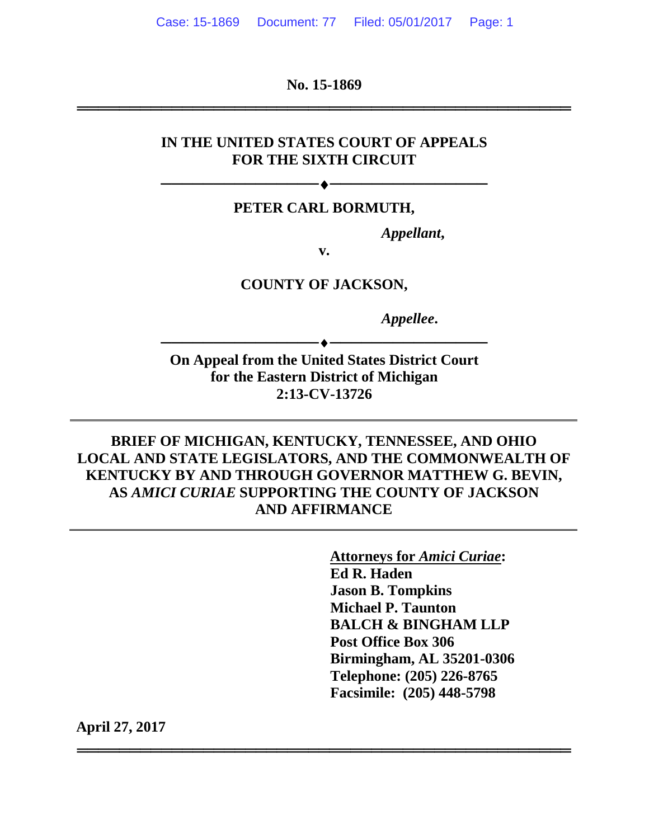**No. 15-1869**

═══════════════════════════════════════════════

### **IN THE UNITED STATES COURT OF APPEALS FOR THE SIXTH CIRCUIT**

#### **PETER CARL BORMUTH,**

──────────<del>─────</del>

*Appellant***,**

**v.**

**COUNTY OF JACKSON,**

*Appellee***.**

**On Appeal from the United States District Court for the Eastern District of Michigan 2:13-CV-13726**

──────────**◆**─────────────────────

**BRIEF OF MICHIGAN, KENTUCKY, TENNESSEE, AND OHIO LOCAL AND STATE LEGISLATORS, AND THE COMMONWEALTH OF KENTUCKY BY AND THROUGH GOVERNOR MATTHEW G. BEVIN, AS** *AMICI CURIAE* **SUPPORTING THE COUNTY OF JACKSON AND AFFIRMANCE**

═══════════════════════════════════════════════

**Attorneys for** *Amici Curiae***: Ed R. Haden Jason B. Tompkins Michael P. Taunton BALCH & BINGHAM LLP Post Office Box 306 Birmingham, AL 35201-0306 Telephone: (205) 226-8765 Facsimile: (205) 448-5798**

**April 27, 2017**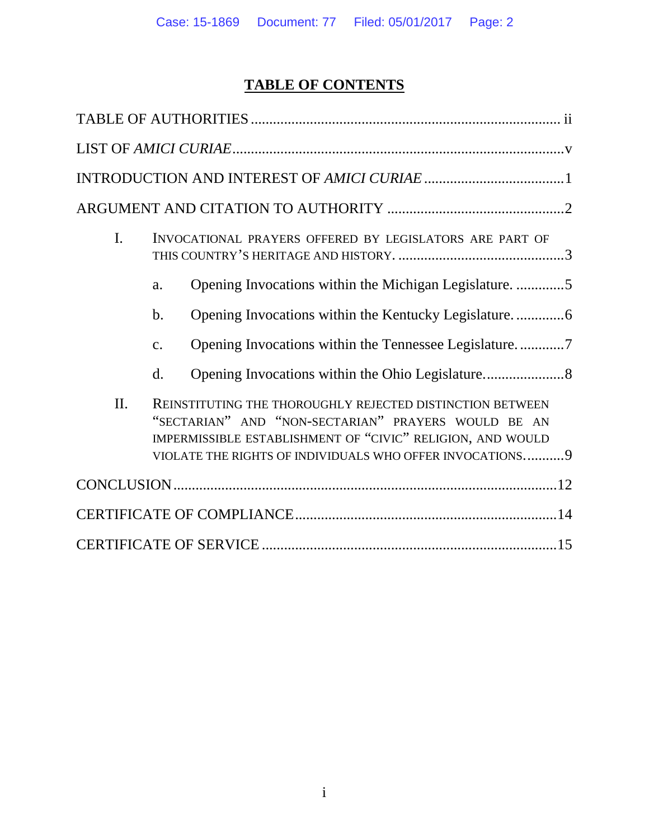# **TABLE OF CONTENTS**

| I.  |                | INVOCATIONAL PRAYERS OFFERED BY LEGISLATORS ARE PART OF                                                                                                                                                                                     |  |
|-----|----------------|---------------------------------------------------------------------------------------------------------------------------------------------------------------------------------------------------------------------------------------------|--|
|     | a.             | Opening Invocations within the Michigan Legislature5                                                                                                                                                                                        |  |
|     | b.             |                                                                                                                                                                                                                                             |  |
|     | $\mathbf{c}$ . |                                                                                                                                                                                                                                             |  |
|     | d.             |                                                                                                                                                                                                                                             |  |
| II. |                | REINSTITUTING THE THOROUGHLY REJECTED DISTINCTION BETWEEN<br>"SECTARIAN" AND "NON-SECTARIAN" PRAYERS WOULD BE AN<br>IMPERMISSIBLE ESTABLISHMENT OF "CIVIC" RELIGION, AND WOULD<br>VIOLATE THE RIGHTS OF INDIVIDUALS WHO OFFER INVOCATIONS 9 |  |
|     |                |                                                                                                                                                                                                                                             |  |
|     |                |                                                                                                                                                                                                                                             |  |
|     |                |                                                                                                                                                                                                                                             |  |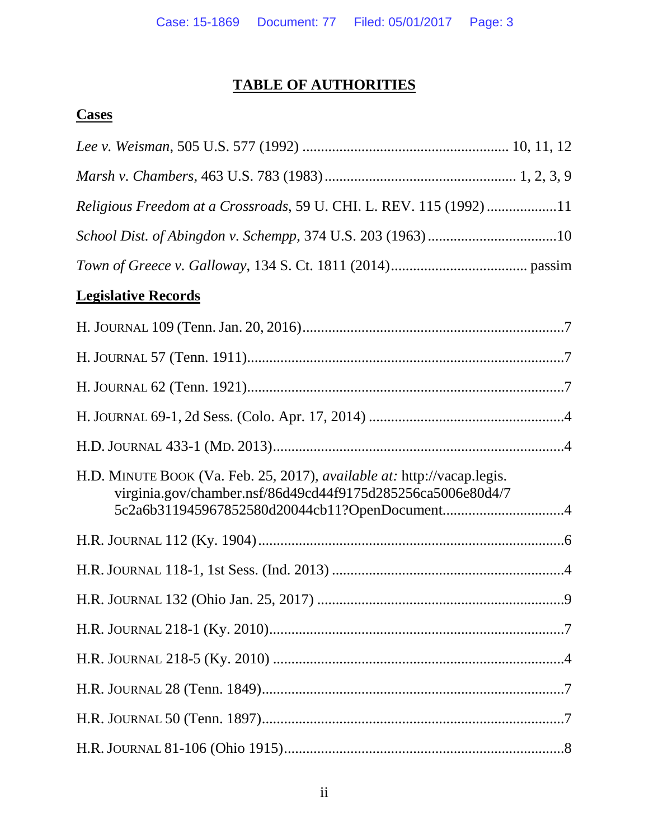# **TABLE OF AUTHORITIES**

### <span id="page-2-0"></span>**Cases**

| Religious Freedom at a Crossroads, 59 U. CHI. L. REV. 115 (1992) 11                                                                    |
|----------------------------------------------------------------------------------------------------------------------------------------|
| School Dist. of Abingdon v. Schempp, 374 U.S. 203 (1963)10                                                                             |
|                                                                                                                                        |
| <b>Legislative Records</b>                                                                                                             |
|                                                                                                                                        |
|                                                                                                                                        |
|                                                                                                                                        |
|                                                                                                                                        |
|                                                                                                                                        |
| H.D. MINUTE BOOK (Va. Feb. 25, 2017), available at: http://vacap.legis.<br>virginia.gov/chamber.nsf/86d49cd44f9175d285256ca5006e80d4/7 |
|                                                                                                                                        |
|                                                                                                                                        |
|                                                                                                                                        |
|                                                                                                                                        |
|                                                                                                                                        |
|                                                                                                                                        |
|                                                                                                                                        |
|                                                                                                                                        |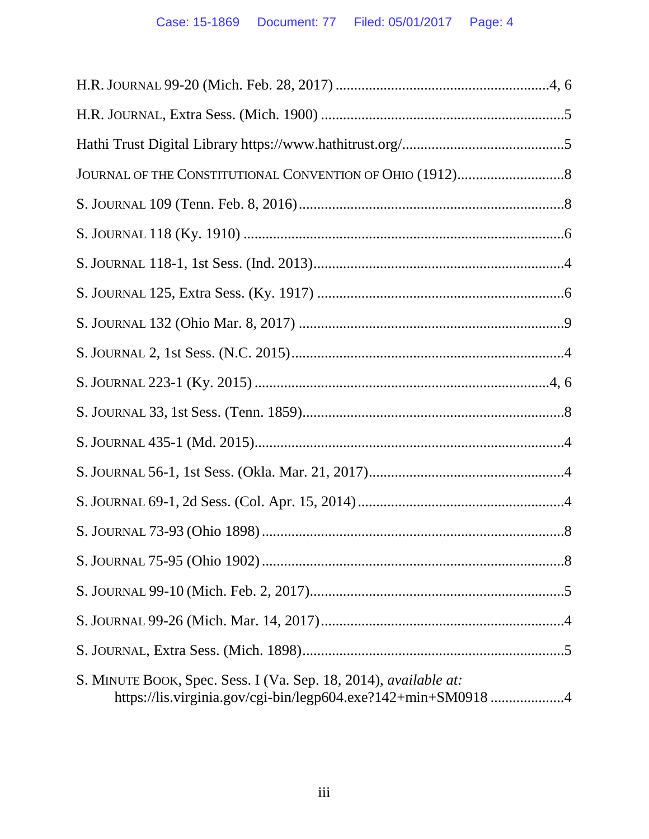| S. MINUTE BOOK, Spec. Sess. I (Va. Sep. 18, 2014), available at:<br>https://lis.virginia.gov/cgi-bin/legp604.exe?142+min+SM09184 |
|----------------------------------------------------------------------------------------------------------------------------------|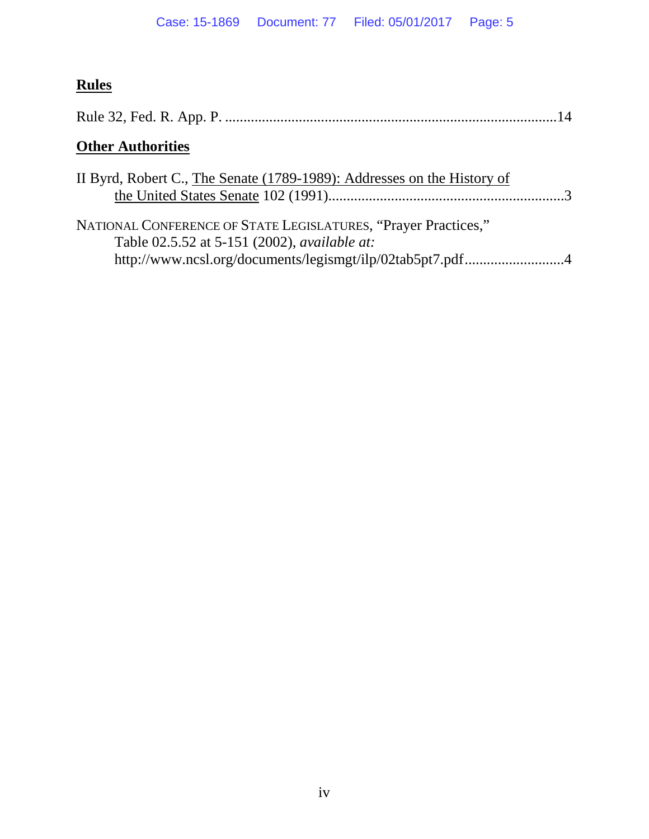# **Rules**

# **Other Authorities**

| II Byrd, Robert C., The Senate (1789-1989): Addresses on the History of                                                                                                     |  |
|-----------------------------------------------------------------------------------------------------------------------------------------------------------------------------|--|
| NATIONAL CONFERENCE OF STATE LEGISLATURES, "Prayer Practices,"<br>Table 02.5.52 at 5-151 (2002), available at:<br>http://www.ncsl.org/documents/legismgt/ilp/02tab5pt7.pdf4 |  |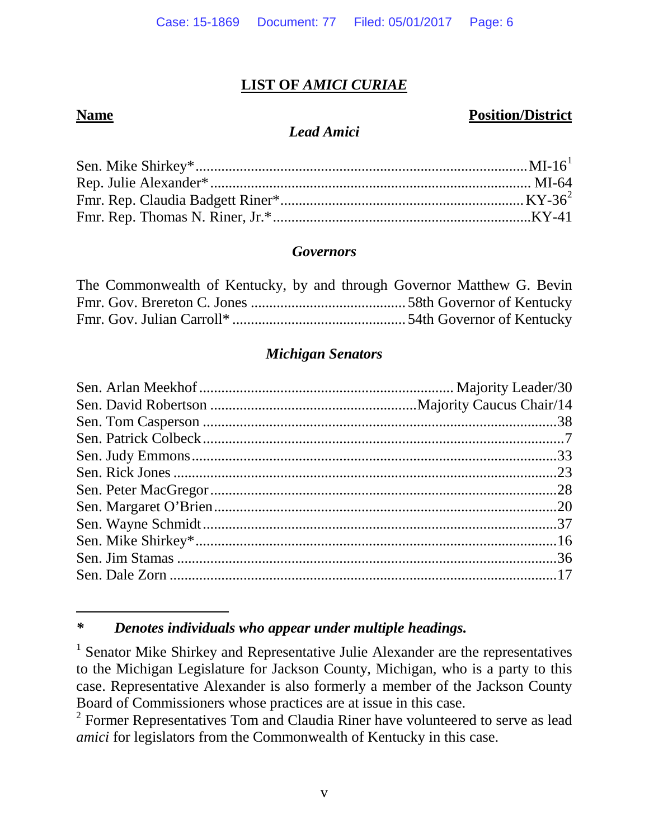### **LIST OF** *AMICI CURIAE*

 $\overline{a}$ 

### <span id="page-5-0"></span>**Name Position/District**

#### *Lead Amici*

#### *Governors*

| The Commonwealth of Kentucky, by and through Governor Matthew G. Bevin |
|------------------------------------------------------------------------|
|                                                                        |
|                                                                        |

#### *Michigan Senators*

### <span id="page-5-1"></span>*\* Denotes individuals who appear under multiple headings.*

<span id="page-5-2"></span><sup>2</sup> Former Representatives Tom and Claudia Riner have volunteered to serve as lead *amici* for legislators from the Commonwealth of Kentucky in this case.

<sup>&</sup>lt;sup>1</sup> Senator Mike Shirkey and Representative Julie Alexander are the representatives to the Michigan Legislature for Jackson County, Michigan, who is a party to this case. Representative Alexander is also formerly a member of the Jackson County Board of Commissioners whose practices are at issue in this case.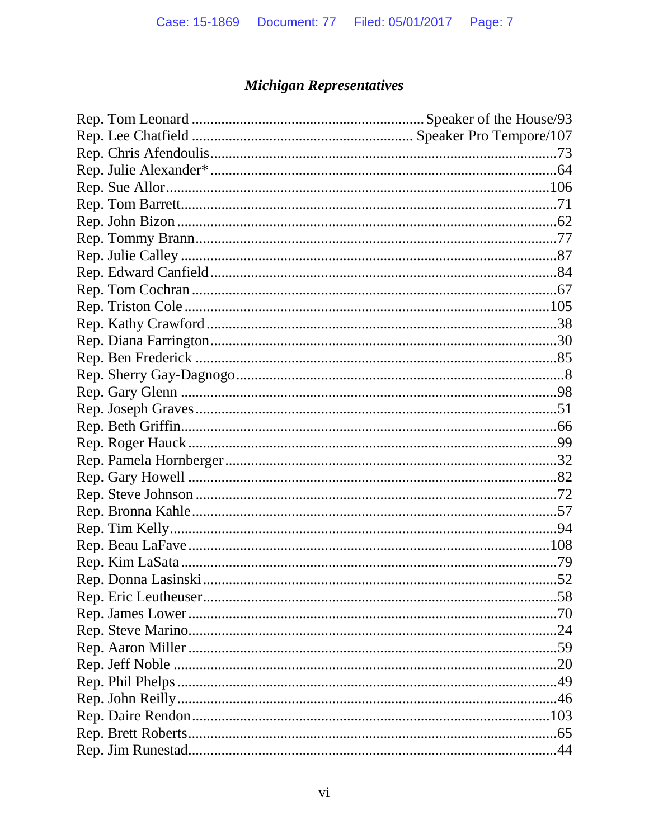# **Michigan Representatives**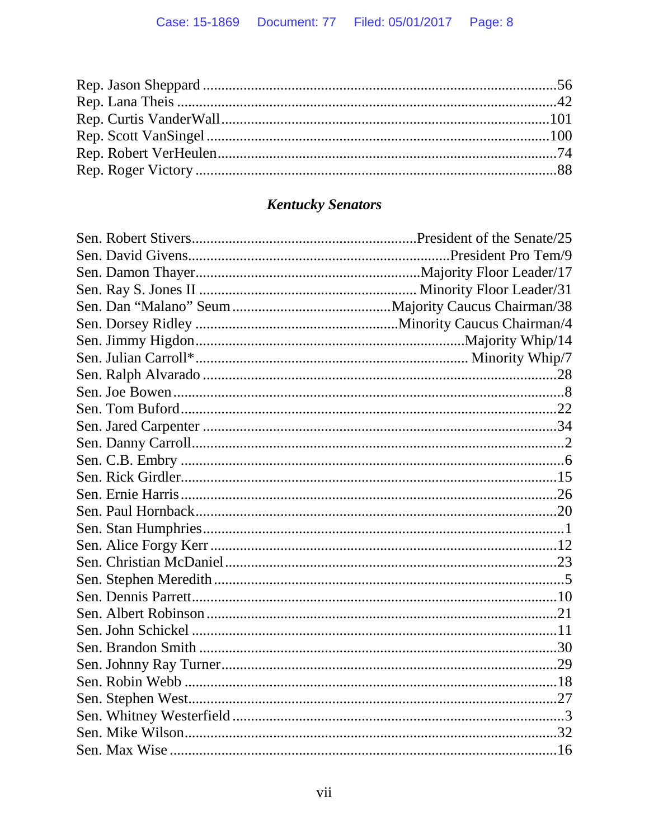# **Kentucky Senators**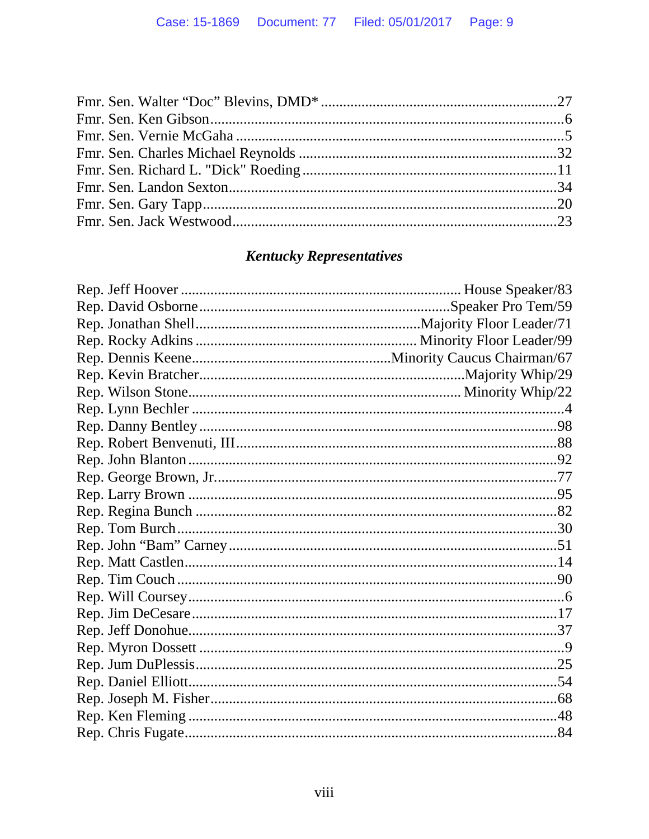# **Kentucky Representatives**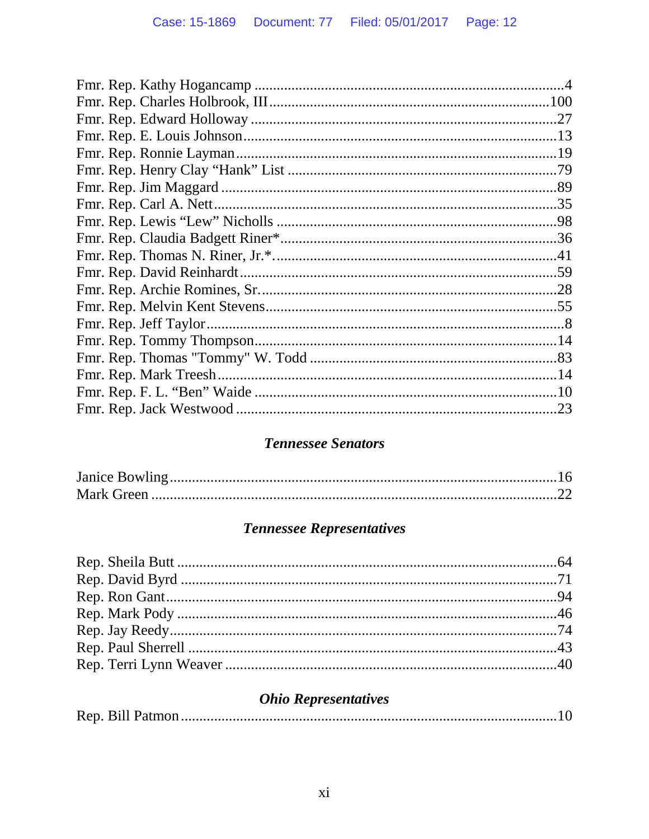### **Tennessee Senators**

# **Tennessee Representatives**

# **Ohio Representatives**

|--|--|--|--|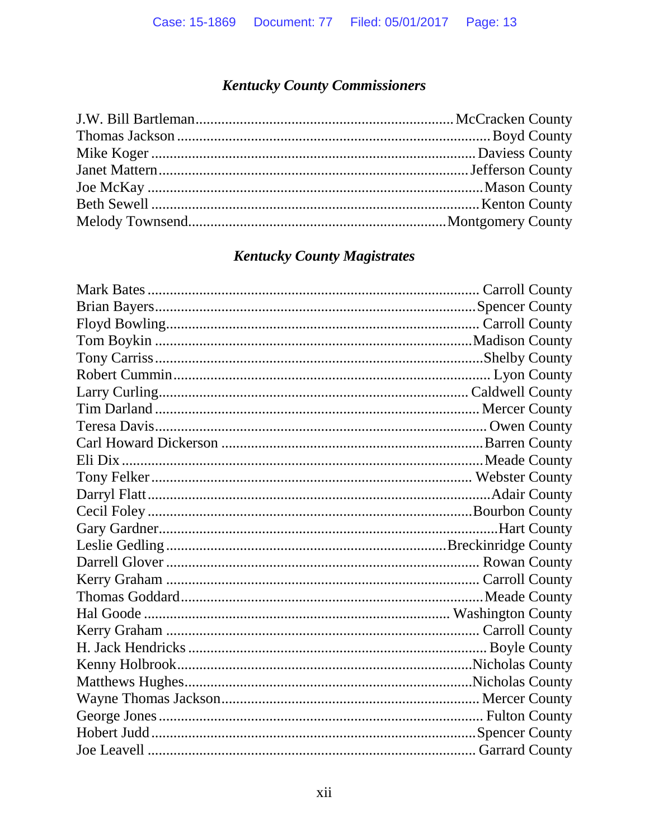# **Kentucky County Commissioners**

### **Kentucky County Magistrates**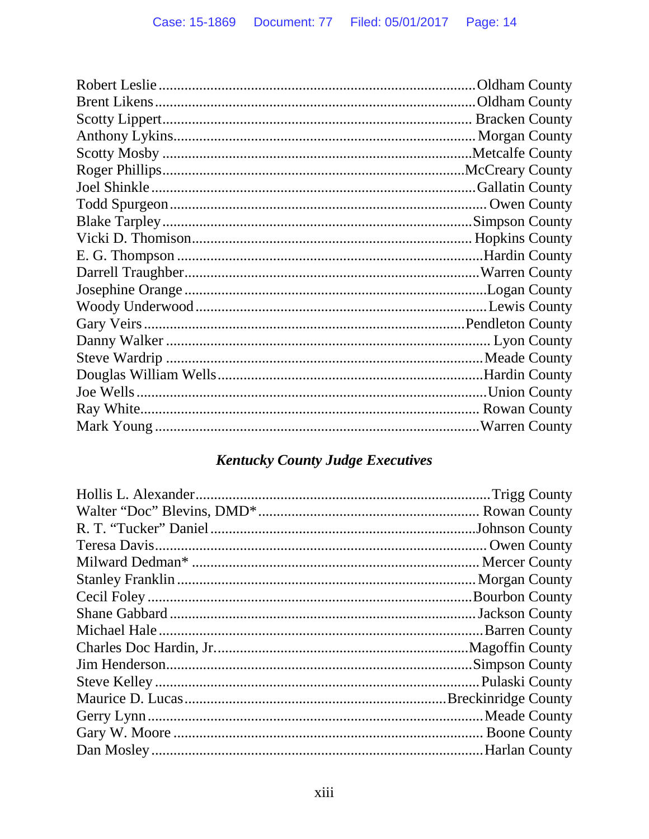# **Kentucky County Judge Executives**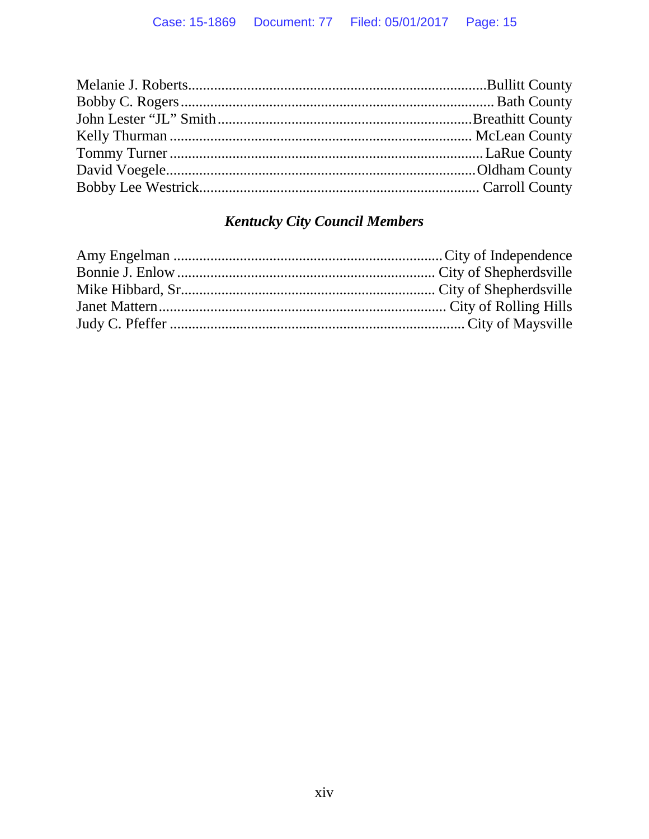# **Kentucky City Council Members**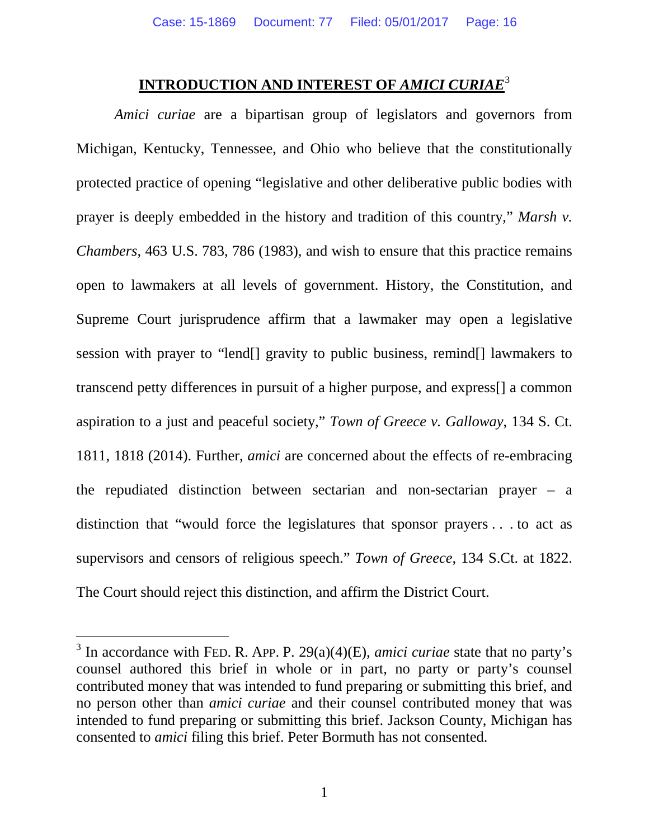### **INTRODUCTION AND INTEREST OF** *AMICI CURIAE*[3](#page-15-1)

<span id="page-15-0"></span>*Amici curiae* are a bipartisan group of legislators and governors from Michigan, Kentucky, Tennessee, and Ohio who believe that the constitutionally protected practice of opening "legislative and other deliberative public bodies with prayer is deeply embedded in the history and tradition of this country," *Marsh v. Chambers*, 463 U.S. 783, 786 (1983), and wish to ensure that this practice remains open to lawmakers at all levels of government. History, the Constitution, and Supreme Court jurisprudence affirm that a lawmaker may open a legislative session with prayer to "lend[] gravity to public business, remind[] lawmakers to transcend petty differences in pursuit of a higher purpose, and express[] a common aspiration to a just and peaceful society," *Town of Greece v. Galloway*, 134 S. Ct. 1811, 1818 (2014). Further, *amici* are concerned about the effects of re-embracing the repudiated distinction between sectarian and non-sectarian prayer – a distinction that "would force the legislatures that sponsor prayers . . . to act as supervisors and censors of religious speech." *Town of Greece*, 134 S.Ct. at 1822. The Court should reject this distinction, and affirm the District Court.

<span id="page-15-1"></span> <sup>3</sup> In accordance with FED. R. APP. P. 29(a)(4)(E), *amici curiae* state that no party's counsel authored this brief in whole or in part, no party or party's counsel contributed money that was intended to fund preparing or submitting this brief, and no person other than *amici curiae* and their counsel contributed money that was intended to fund preparing or submitting this brief. Jackson County, Michigan has consented to *amici* filing this brief. Peter Bormuth has not consented.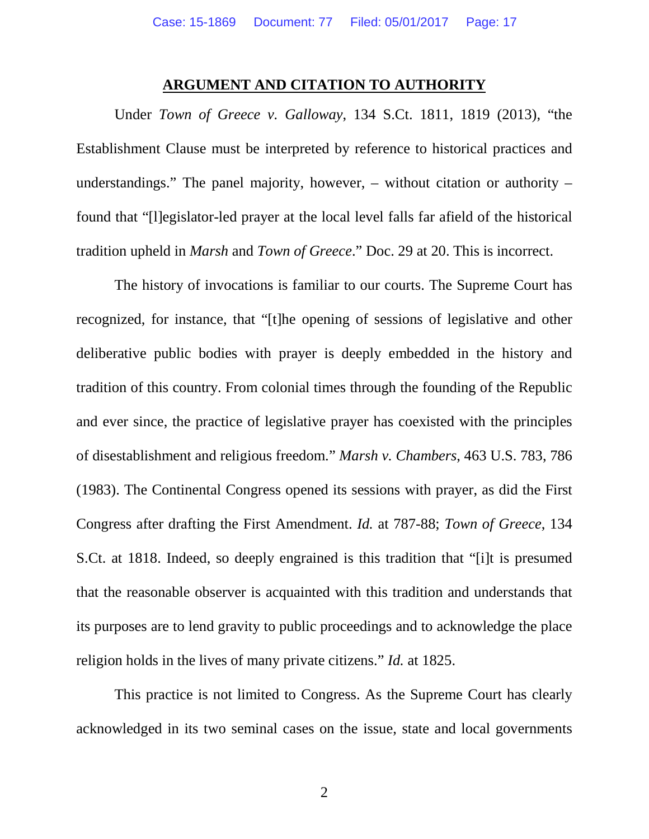#### **ARGUMENT AND CITATION TO AUTHORITY**

<span id="page-16-0"></span>Under *Town of Greece v. Galloway*, 134 S.Ct. 1811, 1819 (2013), "the Establishment Clause must be interpreted by reference to historical practices and understandings." The panel majority, however, – without citation or authority – found that "[l]egislator-led prayer at the local level falls far afield of the historical tradition upheld in *Marsh* and *Town of Greece*." Doc. 29 at 20. This is incorrect.

The history of invocations is familiar to our courts. The Supreme Court has recognized, for instance, that "[t]he opening of sessions of legislative and other deliberative public bodies with prayer is deeply embedded in the history and tradition of this country. From colonial times through the founding of the Republic and ever since, the practice of legislative prayer has coexisted with the principles of disestablishment and religious freedom." *Marsh v. Chambers*, 463 U.S. 783, 786 (1983). The Continental Congress opened its sessions with prayer, as did the First Congress after drafting the First Amendment. *Id.* at 787-88; *Town of Greece*, 134 S.Ct. at 1818. Indeed, so deeply engrained is this tradition that "[i]t is presumed that the reasonable observer is acquainted with this tradition and understands that its purposes are to lend gravity to public proceedings and to acknowledge the place religion holds in the lives of many private citizens." *Id.* at 1825.

This practice is not limited to Congress. As the Supreme Court has clearly acknowledged in its two seminal cases on the issue, state and local governments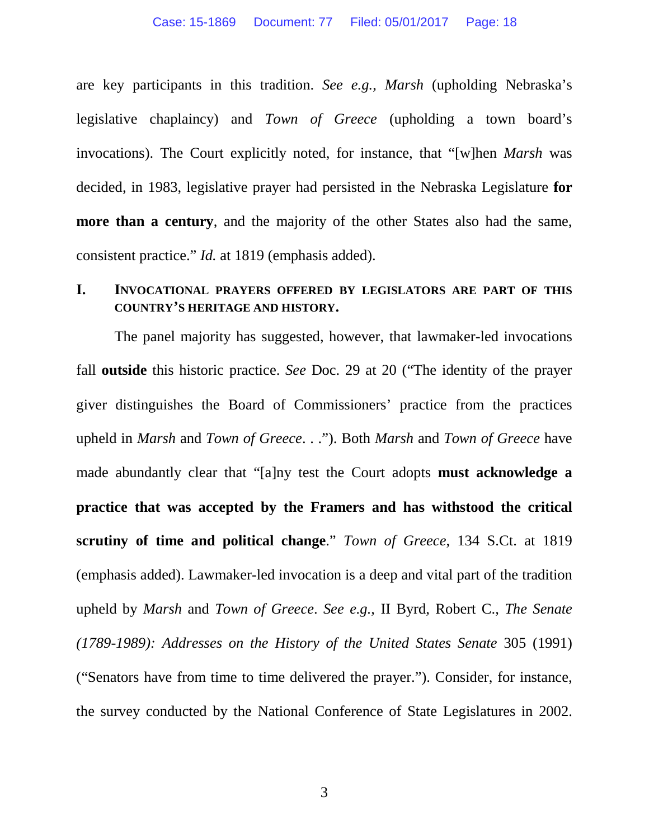are key participants in this tradition. *See e.g.*, *Marsh* (upholding Nebraska's legislative chaplaincy) and *Town of Greece* (upholding a town board's invocations). The Court explicitly noted, for instance, that "[w]hen *Marsh* was decided, in 1983, legislative prayer had persisted in the Nebraska Legislature **for more than a century**, and the majority of the other States also had the same, consistent practice." *Id.* at 1819 (emphasis added).

#### <span id="page-17-0"></span>**I. INVOCATIONAL PRAYERS OFFERED BY LEGISLATORS ARE PART OF THIS COUNTRY'S HERITAGE AND HISTORY.**

The panel majority has suggested, however, that lawmaker-led invocations fall **outside** this historic practice. *See* Doc. 29 at 20 ("The identity of the prayer giver distinguishes the Board of Commissioners' practice from the practices upheld in *Marsh* and *Town of Greece*. . ."). Both *Marsh* and *Town of Greece* have made abundantly clear that "[a]ny test the Court adopts **must acknowledge a practice that was accepted by the Framers and has withstood the critical scrutiny of time and political change**." *Town of Greece*, 134 S.Ct. at 1819 (emphasis added). Lawmaker-led invocation is a deep and vital part of the tradition upheld by *Marsh* and *Town of Greece*. *See e.g.*, II Byrd, Robert C., *The Senate (1789-1989): Addresses on the History of the United States Senate* 305 (1991) ("Senators have from time to time delivered the prayer."). Consider, for instance, the survey conducted by the National Conference of State Legislatures in 2002.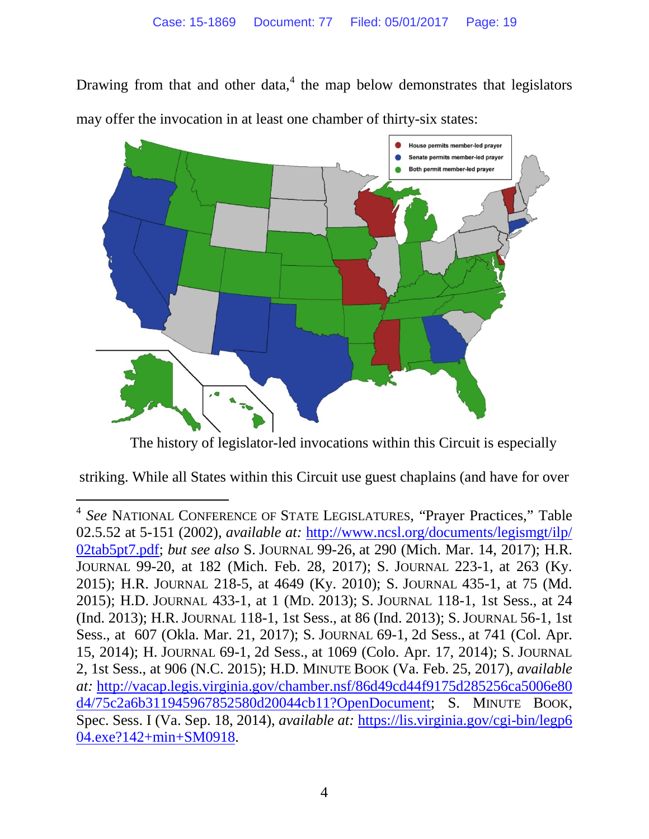Drawing from that and other data, $4$  the map below demonstrates that legislators may offer the invocation in at least one chamber of thirty-six states:



The history of legislator-led invocations within this Circuit is especially

striking. While all States within this Circuit use guest chaplains (and have for over

<span id="page-18-0"></span> <sup>4</sup> *See* NATIONAL CONFERENCE OF STATE LEGISLATURES, "Prayer Practices," Table 02.5.52 at 5-151 (2002), *available at:* [http://www.ncsl.org/documents/legismgt/ilp/](http://www.ncsl.org/documents/legismgt/ilp/02tab5pt7.pdf) [02tab5pt7.pdf;](http://www.ncsl.org/documents/legismgt/ilp/02tab5pt7.pdf) *but see also* S. JOURNAL 99-26, at 290 (Mich. Mar. 14, 2017); H.R. JOURNAL 99-20, at 182 (Mich. Feb. 28, 2017); S. JOURNAL 223-1, at 263 (Ky. 2015); H.R. JOURNAL 218-5, at 4649 (Ky. 2010); S. JOURNAL 435-1, at 75 (Md. 2015); H.D. JOURNAL 433-1, at 1 (MD. 2013); S. JOURNAL 118-1, 1st Sess., at 24 (Ind. 2013); H.R. JOURNAL 118-1, 1st Sess., at 86 (Ind. 2013); S.JOURNAL 56-1, 1st Sess., at 607 (Okla. Mar. 21, 2017); S. JOURNAL 69-1, 2d Sess., at 741 (Col. Apr. 15, 2014); H. JOURNAL 69-1, 2d Sess., at 1069 (Colo. Apr. 17, 2014); S. JOURNAL 2, 1st Sess., at 906 (N.C. 2015); H.D. MINUTE BOOK (Va. Feb. 25, 2017), *available at:* [http://vacap.legis.virginia.gov/chamber.nsf/86d49cd44f9175d285256ca5006e80](http://vacap.legis.virginia.gov/chamber.nsf/86d49cd44f9175d285256ca) [d4/75c2a6b311945967852580d20044cb11?OpenDocument;](http://vacap.legis.virginia.gov/chamber.nsf/86d49cd44f9175d285256ca5006e80d4/75c2a6b311945967852580d20044cb11?OpenDocument) S. MINUTE BOOK, Spec. Sess. I (Va. Sep. 18, 2014), *available at:* [https://lis.virginia.gov/cgi-bin/legp6](https://lis.virginia.gov/cgi-bin/legp604.exe?142+min+SM0918) [04.exe?142+min+SM0918.](https://lis.virginia.gov/cgi-bin/legp604.exe?142+min+SM0918)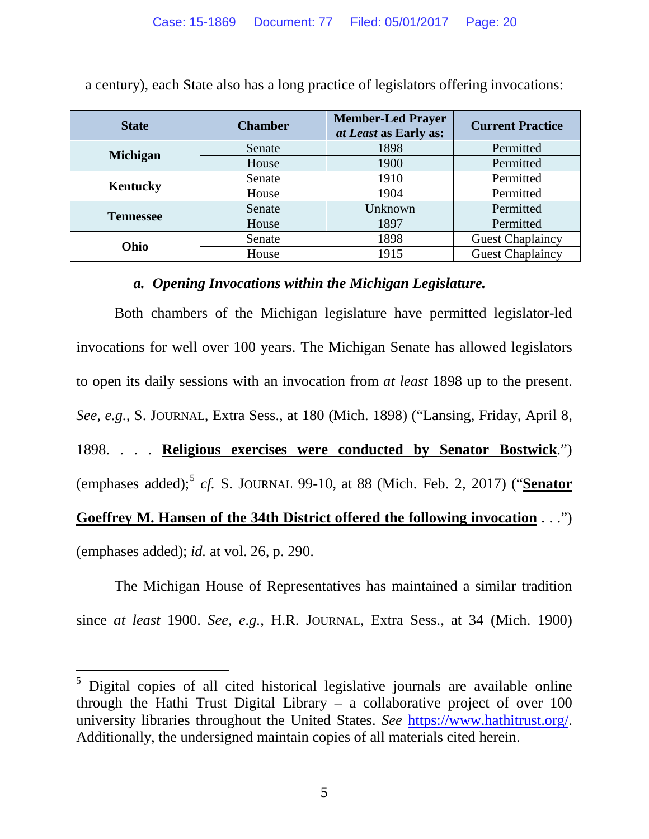| <b>State</b>     | <b>Chamber</b> | <b>Member-Led Prayer</b><br>at Least as Early as: | <b>Current Practice</b> |
|------------------|----------------|---------------------------------------------------|-------------------------|
| <b>Michigan</b>  | Senate         | 1898                                              | Permitted               |
|                  | House          | 1900                                              | Permitted               |
| Kentucky         | Senate         | 1910                                              | Permitted               |
|                  | House          | 1904                                              | Permitted               |
| <b>Tennessee</b> | Senate         | Unknown                                           | Permitted               |
|                  | House          | 1897                                              | Permitted               |
| Ohio             | Senate         | 1898                                              | <b>Guest Chaplaincy</b> |
|                  | House          | 1915                                              | <b>Guest Chaplaincy</b> |

a century), each State also has a long practice of legislators offering invocations:

#### *a. Opening Invocations within the Michigan Legislature.*

<span id="page-19-0"></span>Both chambers of the Michigan legislature have permitted legislator-led invocations for well over 100 years. The Michigan Senate has allowed legislators to open its daily sessions with an invocation from *at least* 1898 up to the present. *See, e.g.*, S. JOURNAL, Extra Sess., at 180 (Mich. 1898) ("Lansing, Friday, April 8, 1898. . . . **Religious exercises were conducted by Senator Bostwick**.") (emphases added); [5](#page-19-1) *cf.* S. JOURNAL 99-10, at 88 (Mich. Feb. 2, 2017) ("**Senator Goeffrey M. Hansen of the 34th District offered the following invocation** . . .") (emphases added); *id.* at vol. 26, p. 290.

The Michigan House of Representatives has maintained a similar tradition since *at least* 1900. *See, e.g.*, H.R. JOURNAL, Extra Sess., at 34 (Mich. 1900)

<span id="page-19-1"></span><sup>&</sup>lt;sup>5</sup> Digital copies of all cited historical legislative journals are available online through the Hathi Trust Digital Library – a collaborative project of over 100 university libraries throughout the United States. *See* [https://www.hathitrust.org/.](https://www.hathitrust.org/) Additionally, the undersigned maintain copies of all materials cited herein.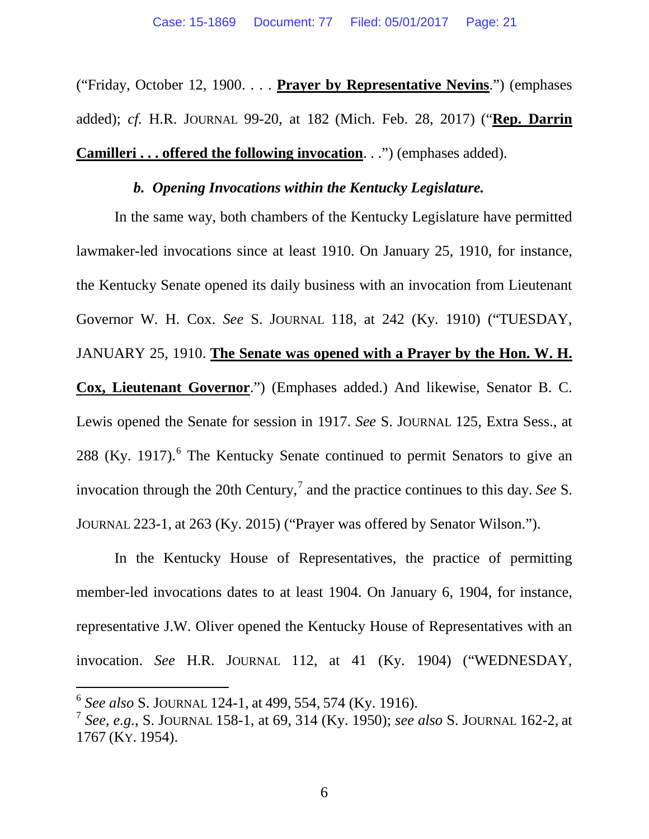("Friday, October 12, 1900. . . . **Prayer by Representative Nevins**.") (emphases added); *cf.* H.R. JOURNAL 99-20, at 182 (Mich. Feb. 28, 2017) ("**Rep. Darrin Camilleri . . . offered the following invocation**. . .") (emphases added).

#### *b. Opening Invocations within the Kentucky Legislature.*

<span id="page-20-0"></span>In the same way, both chambers of the Kentucky Legislature have permitted lawmaker-led invocations since at least 1910. On January 25, 1910, for instance, the Kentucky Senate opened its daily business with an invocation from Lieutenant Governor W. H. Cox. *See* S. JOURNAL 118, at 242 (Ky. 1910) ("TUESDAY, JANUARY 25, 1910. **The Senate was opened with a Prayer by the Hon. W. H. Cox, Lieutenant Governor**.") (Emphases added.) And likewise, Senator B. C. Lewis opened the Senate for session in 1917. *See* S. JOURNAL 125, Extra Sess., at 288 (Ky. 1917).<sup>[6](#page-20-1)</sup> The Kentucky Senate continued to permit Senators to give an invocation through the 20th Century,<sup>[7](#page-20-2)</sup> and the practice continues to this day. *See* S. JOURNAL 223-1, at 263 (Ky. 2015) ("Prayer was offered by Senator Wilson.").

In the Kentucky House of Representatives, the practice of permitting member-led invocations dates to at least 1904. On January 6, 1904, for instance, representative J.W. Oliver opened the Kentucky House of Representatives with an invocation. *See* H.R. JOURNAL 112, at 41 (Ky. 1904) ("WEDNESDAY,

<span id="page-20-1"></span> <sup>6</sup> *See also* S. JOURNAL 124-1, at 499, 554, 574 (Ky. 1916).

<span id="page-20-2"></span><sup>7</sup> *See, e.g.*, S. JOURNAL 158-1, at 69, 314 (Ky. 1950); *see also* S. JOURNAL 162-2, at 1767 (KY. 1954).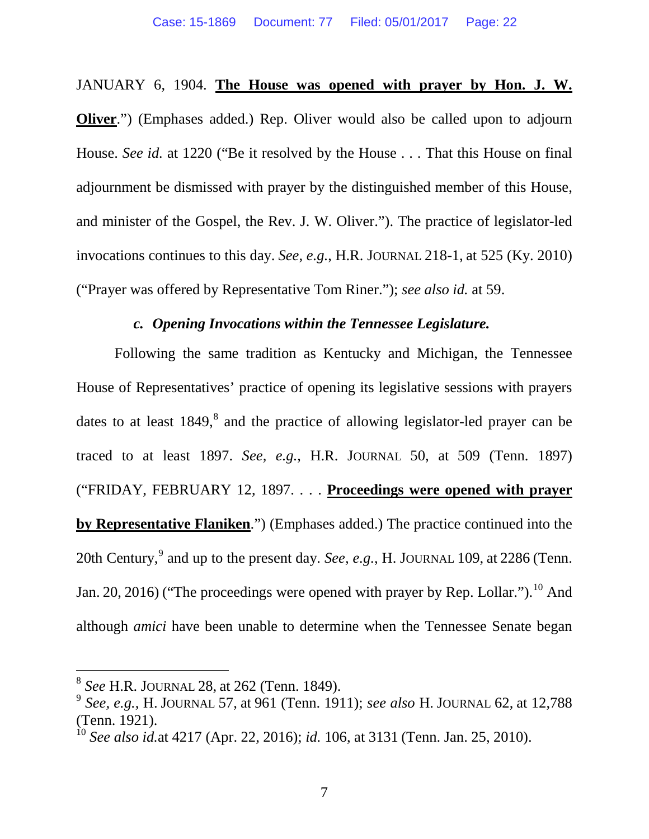#### JANUARY 6, 1904. **The House was opened with prayer by Hon. J. W.**

**Oliver.**") (Emphases added.) Rep. Oliver would also be called upon to adjourn House. *See id.* at 1220 ("Be it resolved by the House . . . That this House on final adjournment be dismissed with prayer by the distinguished member of this House, and minister of the Gospel, the Rev. J. W. Oliver."). The practice of legislator-led invocations continues to this day. *See, e.g.*, H.R. JOURNAL 218-1, at 525 (Ky. 2010) ("Prayer was offered by Representative Tom Riner."); *see also id.* at 59.

### *c. Opening Invocations within the Tennessee Legislature.*

<span id="page-21-0"></span>Following the same tradition as Kentucky and Michigan, the Tennessee House of Representatives' practice of opening its legislative sessions with prayers dates to at least  $1849$  $1849$  $1849$ ,<sup>8</sup> and the practice of allowing legislator-led prayer can be traced to at least 1897. *See, e.g.*, H.R. JOURNAL 50, at 509 (Tenn. 1897) ("FRIDAY, FEBRUARY 12, 1897. . . . **Proceedings were opened with prayer by Representative Flaniken**.") (Emphases added.) The practice continued into the 20th Century, [9](#page-21-2) and up to the present day. *See, e.g.*, H. JOURNAL 109, at 2286 (Tenn. Jan. 20, 2016) ("The proceedings were opened with prayer by Rep. Lollar.").<sup>[10](#page-21-3)</sup> And although *amici* have been unable to determine when the Tennessee Senate began

<span id="page-21-2"></span><span id="page-21-1"></span><sup>8</sup> *See* H.R. JOURNAL 28, at 262 (Tenn. 1849). <sup>9</sup> *See, e.g.*, H. JOURNAL 57, at 961 (Tenn. 1911); *see also* H. JOURNAL 62, at 12,788 (Tenn. 1921).<br><sup>10</sup> *See also id.*at 4217 (Apr. 22, 2016); *id.* 106, at 3131 (Tenn. Jan. 25, 2010).

<span id="page-21-3"></span>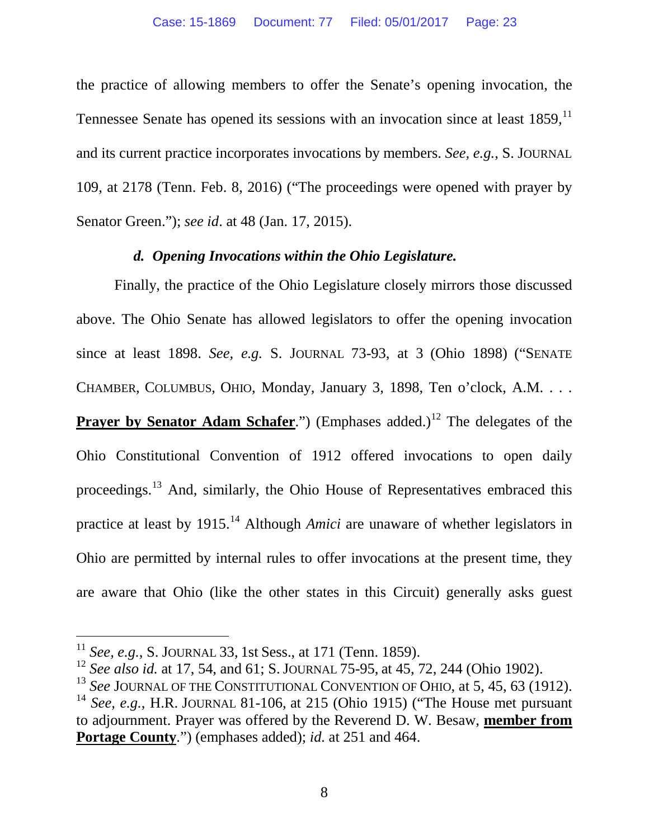the practice of allowing members to offer the Senate's opening invocation, the Tennessee Senate has opened its sessions with an invocation since at least 1859,<sup>[11](#page-22-1)</sup> and its current practice incorporates invocations by members. *See, e.g.*, S. JOURNAL 109, at 2178 (Tenn. Feb. 8, 2016) ("The proceedings were opened with prayer by Senator Green."); *see id*. at 48 (Jan. 17, 2015).

### *d. Opening Invocations within the Ohio Legislature.*

<span id="page-22-0"></span>Finally, the practice of the Ohio Legislature closely mirrors those discussed above. The Ohio Senate has allowed legislators to offer the opening invocation since at least 1898. *See, e.g.* S. JOURNAL 73-93, at 3 (Ohio 1898) ("SENATE CHAMBER, COLUMBUS, OHIO, Monday, January 3, 1898, Ten o'clock, A.M. . . . **Prayer by Senator Adam Schafer.**") (Emphases added.)<sup>[12](#page-22-2)</sup> The delegates of the Ohio Constitutional Convention of 1912 offered invocations to open daily proceedings.<sup>[13](#page-22-3)</sup> And, similarly, the Ohio House of Representatives embraced this practice at least by 1915. [14](#page-22-4) Although *Amici* are unaware of whether legislators in Ohio are permitted by internal rules to offer invocations at the present time, they are aware that Ohio (like the other states in this Circuit) generally asks guest

<span id="page-22-2"></span>

<span id="page-22-1"></span><sup>&</sup>lt;sup>11</sup> See, e.g., S. JOURNAL 33, 1st Sess., at 171 (Tenn. 1859).<br><sup>12</sup> See also id. at 17, 54, and 61; S. JOURNAL 75-95, at 45, 72, 244 (Ohio 1902).<br><sup>13</sup> See JOURNAL OF THE CONSTITUTIONAL CONVENTION OF OHIO, at 5, 45, 63 (19

<span id="page-22-4"></span><span id="page-22-3"></span>to adjournment. Prayer was offered by the Reverend D. W. Besaw, **member from Portage County**.") (emphases added); *id.* at 251 and 464.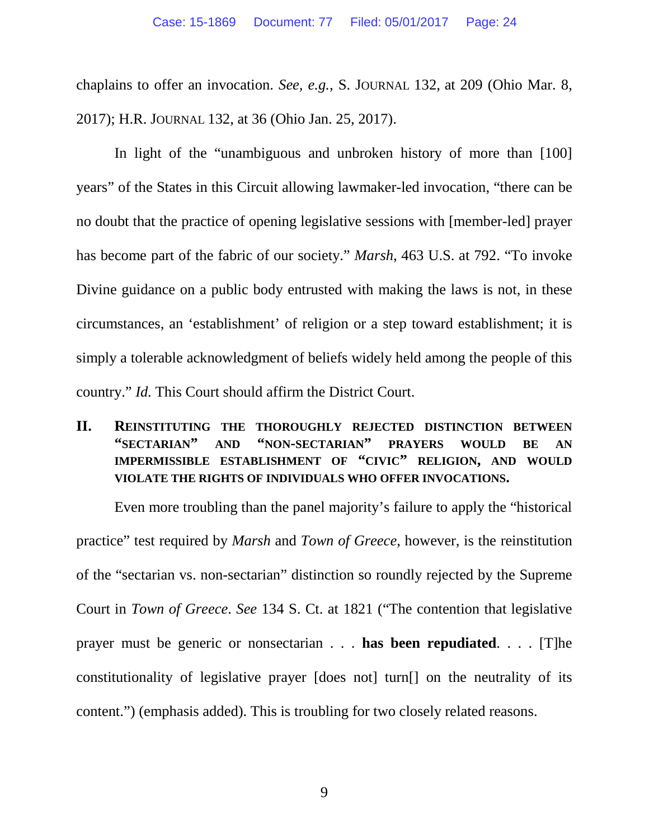chaplains to offer an invocation. *See, e.g.*, S. JOURNAL 132, at 209 (Ohio Mar. 8, 2017); H.R. JOURNAL 132, at 36 (Ohio Jan. 25, 2017).

In light of the "unambiguous and unbroken history of more than [100] years" of the States in this Circuit allowing lawmaker-led invocation, "there can be no doubt that the practice of opening legislative sessions with [member-led] prayer has become part of the fabric of our society." *Marsh*, 463 U.S. at 792. "To invoke Divine guidance on a public body entrusted with making the laws is not, in these circumstances, an 'establishment' of religion or a step toward establishment; it is simply a tolerable acknowledgment of beliefs widely held among the people of this country." *Id.* This Court should affirm the District Court.

### <span id="page-23-0"></span>**II. REINSTITUTING THE THOROUGHLY REJECTED DISTINCTION BETWEEN "SECTARIAN" AND "NON-SECTARIAN" PRAYERS WOULD BE AN IMPERMISSIBLE ESTABLISHMENT OF "CIVIC" RELIGION, AND WOULD VIOLATE THE RIGHTS OF INDIVIDUALS WHO OFFER INVOCATIONS.**

Even more troubling than the panel majority's failure to apply the "historical practice" test required by *Marsh* and *Town of Greece*, however, is the reinstitution of the "sectarian vs. non-sectarian" distinction so roundly rejected by the Supreme Court in *Town of Greece*. *See* 134 S. Ct. at 1821 ("The contention that legislative prayer must be generic or nonsectarian . . . **has been repudiated**. . . . [T]he constitutionality of legislative prayer [does not] turn[] on the neutrality of its content.") (emphasis added). This is troubling for two closely related reasons.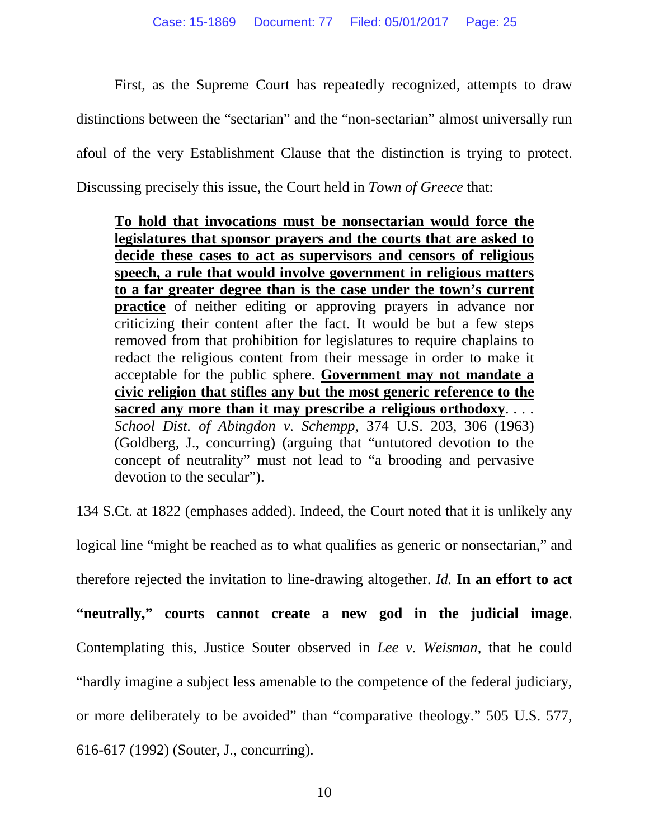First, as the Supreme Court has repeatedly recognized, attempts to draw distinctions between the "sectarian" and the "non-sectarian" almost universally run afoul of the very Establishment Clause that the distinction is trying to protect. Discussing precisely this issue, the Court held in *Town of Greece* that:

**To hold that invocations must be nonsectarian would force the legislatures that sponsor prayers and the courts that are asked to decide these cases to act as supervisors and censors of religious speech, a rule that would involve government in religious matters to a far greater degree than is the case under the town's current practice** of neither editing or approving prayers in advance nor criticizing their content after the fact. It would be but a few steps removed from that prohibition for legislatures to require chaplains to redact the religious content from their message in order to make it acceptable for the public sphere. **Government may not mandate a civic religion that stifles any but the most generic reference to the sacred any more than it may prescribe a religious orthodoxy**. *. . . School Dist. of Abingdon v. Schempp*, 374 U.S. 203, 306 (1963) (Goldberg, J., concurring) (arguing that "untutored devotion to the concept of neutrality" must not lead to "a brooding and pervasive devotion to the secular").

134 S.Ct. at 1822 (emphases added). Indeed, the Court noted that it is unlikely any logical line "might be reached as to what qualifies as generic or nonsectarian," and therefore rejected the invitation to line-drawing altogether. *Id.* **In an effort to act "neutrally," courts cannot create a new god in the judicial image**. Contemplating this, Justice Souter observed in *Lee v. Weisman*, that he could "hardly imagine a subject less amenable to the competence of the federal judiciary, or more deliberately to be avoided" than "comparative theology." 505 U.S. 577, 616-617 (1992) (Souter, J., concurring).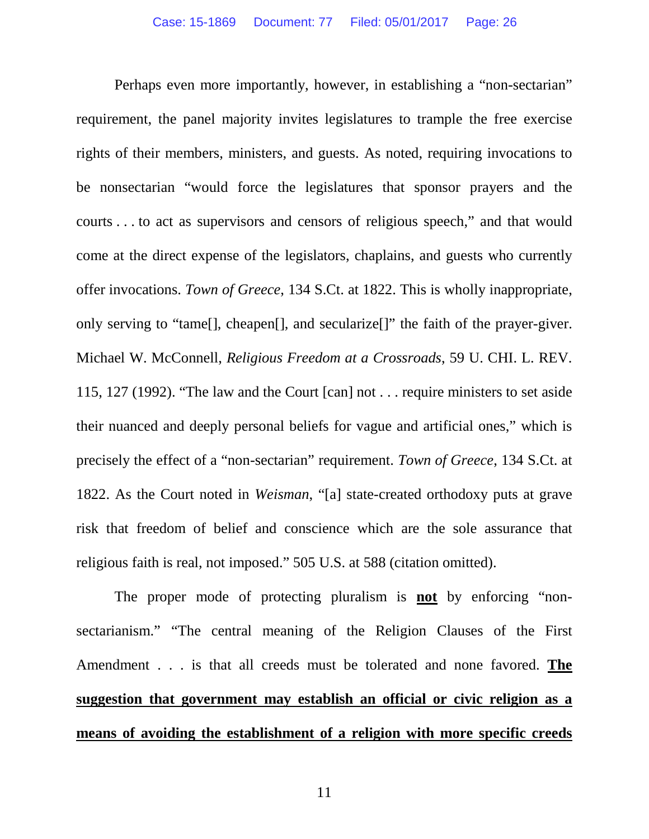Perhaps even more importantly, however, in establishing a "non-sectarian" requirement, the panel majority invites legislatures to trample the free exercise rights of their members, ministers, and guests. As noted, requiring invocations to be nonsectarian "would force the legislatures that sponsor prayers and the courts . . . to act as supervisors and censors of religious speech," and that would come at the direct expense of the legislators, chaplains, and guests who currently offer invocations. *Town of Greece*, 134 S.Ct. at 1822. This is wholly inappropriate, only serving to "tame[], cheapen[], and secularize[]" the faith of the prayer-giver. Michael W. McConnell, *Religious Freedom at a Crossroads*, 59 U. CHI. L. REV. 115, 127 (1992). "The law and the Court [can] not . . . require ministers to set aside their nuanced and deeply personal beliefs for vague and artificial ones," which is precisely the effect of a "non-sectarian" requirement. *Town of Greece*, 134 S.Ct. at 1822. As the Court noted in *Weisman*, "[a] state-created orthodoxy puts at grave risk that freedom of belief and conscience which are the sole assurance that religious faith is real, not imposed." 505 U.S. at 588 (citation omitted).

The proper mode of protecting pluralism is **not** by enforcing "nonsectarianism." "The central meaning of the Religion Clauses of the First Amendment . . . is that all creeds must be tolerated and none favored. **The suggestion that government may establish an official or civic religion as a means of avoiding the establishment of a religion with more specific creeds**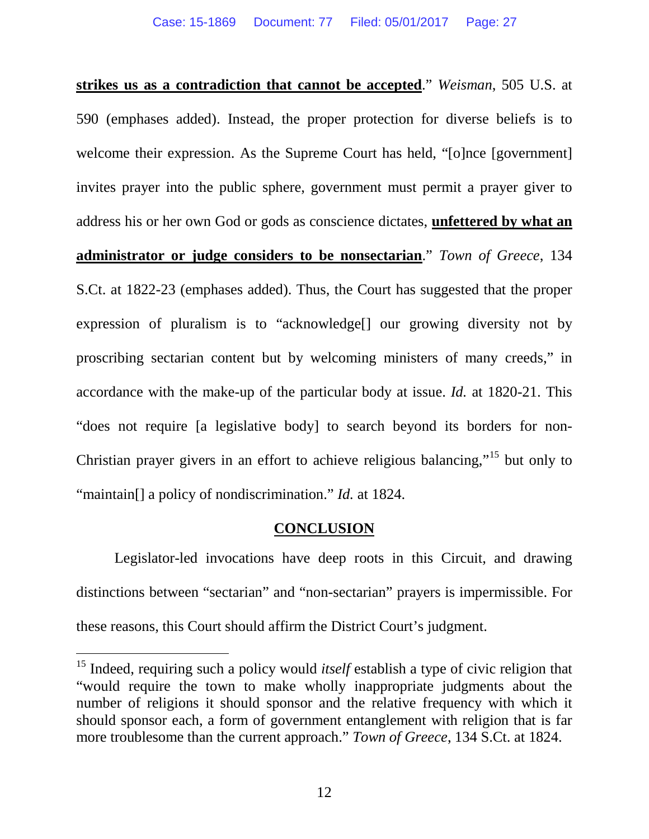**strikes us as a contradiction that cannot be accepted**." *Weisman*, 505 U.S. at 590 (emphases added). Instead, the proper protection for diverse beliefs is to welcome their expression. As the Supreme Court has held, "[o]nce [government] invites prayer into the public sphere, government must permit a prayer giver to address his or her own God or gods as conscience dictates, **unfettered by what an administrator or judge considers to be nonsectarian**." *Town of Greece*, 134 S.Ct. at 1822-23 (emphases added). Thus, the Court has suggested that the proper expression of pluralism is to "acknowledge[] our growing diversity not by proscribing sectarian content but by welcoming ministers of many creeds," in accordance with the make-up of the particular body at issue. *Id.* at 1820-21. This "does not require [a legislative body] to search beyond its borders for non-Christian prayer givers in an effort to achieve religious balancing,"[15](#page-26-1) but only to "maintain<sup>[]</sup> a policy of nondiscrimination." *Id.* at 1824.

### **CONCLUSION**

<span id="page-26-0"></span>Legislator-led invocations have deep roots in this Circuit, and drawing distinctions between "sectarian" and "non-sectarian" prayers is impermissible. For these reasons, this Court should affirm the District Court's judgment.

<span id="page-26-1"></span><sup>&</sup>lt;sup>15</sup> Indeed, requiring such a policy would *itself* establish a type of civic religion that "would require the town to make wholly inappropriate judgments about the number of religions it should sponsor and the relative frequency with which it should sponsor each, a form of government entanglement with religion that is far more troublesome than the current approach." *Town of Greece*, 134 S.Ct. at 1824.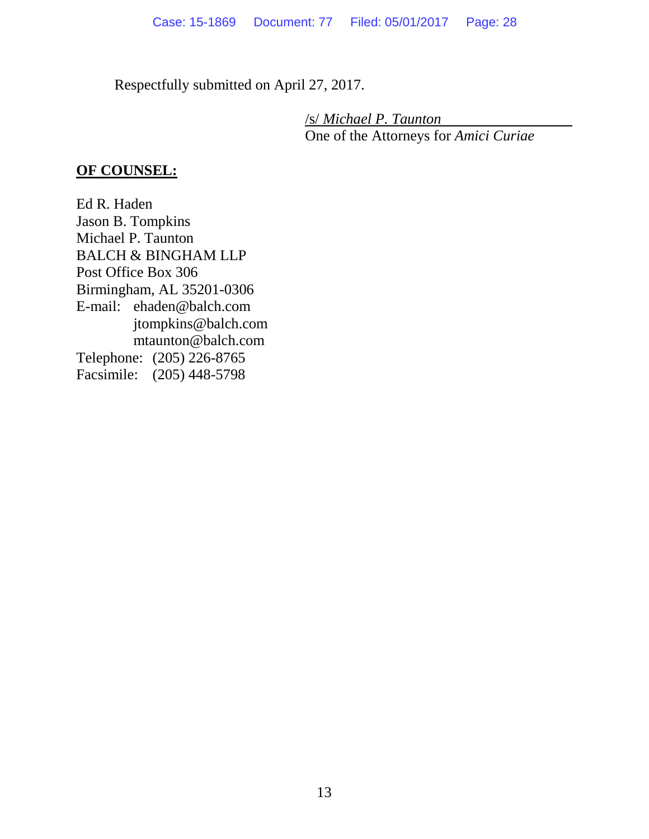Respectfully submitted on April 27, 2017.

/s/ *Michael P. Taunton* One of the Attorneys for *Amici Curiae*

### **OF COUNSEL:**

<span id="page-27-0"></span>Ed R. Haden Jason B. Tompkins Michael P. Taunton BALCH & BINGHAM LLP Post Office Box 306 Birmingham, AL 35201-0306 E-mail: ehaden@balch.com jtompkins@balch.com mtaunton@balch.com Telephone: (205) 226-8765 Facsimile: (205) 448-5798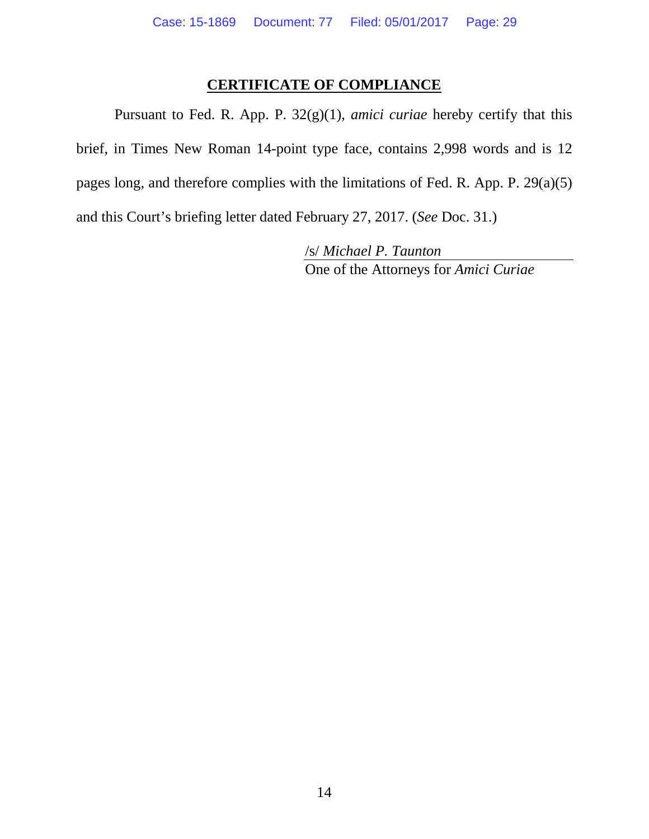### **CERTIFICATE OF COMPLIANCE**

Pursuant to Fed. R. App. P. 32(g)(1), *amici curiae* hereby certify that this brief, in Times New Roman 14-point type face, contains 2,998 words and is 12 pages long, and therefore complies with the limitations of Fed. R. App. P. 29(a)(5) and this Court's briefing letter dated February 27, 2017. (*See* Doc. 31.)

> /s/ *Michael P. Taunton* One of the Attorneys for *Amici Curiae*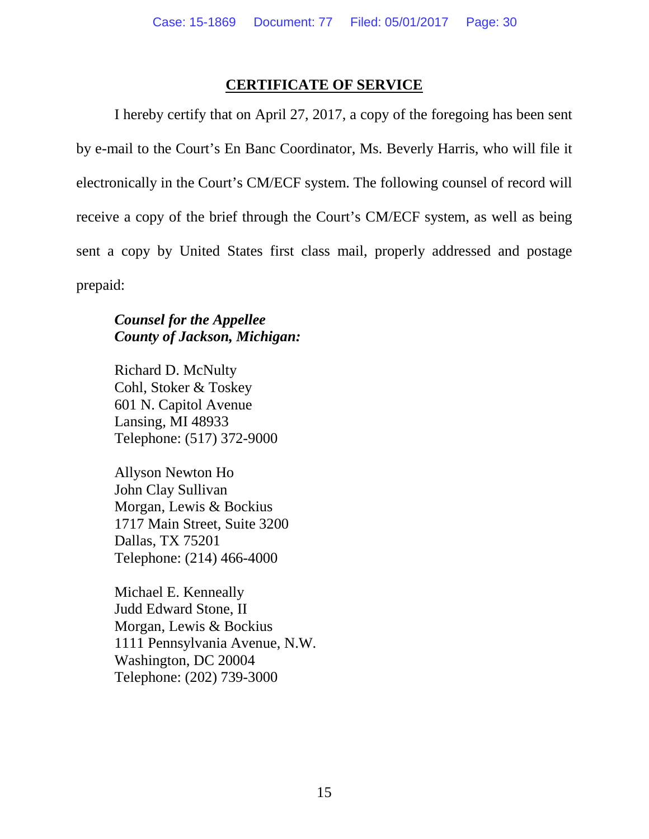### **CERTIFICATE OF SERVICE**

<span id="page-29-0"></span>I hereby certify that on April 27, 2017, a copy of the foregoing has been sent by e-mail to the Court's En Banc Coordinator, Ms. Beverly Harris, who will file it electronically in the Court's CM/ECF system. The following counsel of record will receive a copy of the brief through the Court's CM/ECF system, as well as being sent a copy by United States first class mail, properly addressed and postage prepaid:

### *Counsel for the Appellee County of Jackson, Michigan:*

Richard D. McNulty Cohl, Stoker & Toskey 601 N. Capitol Avenue Lansing, MI 48933 Telephone: (517) 372-9000

Allyson Newton Ho John Clay Sullivan Morgan, Lewis & Bockius 1717 Main Street, Suite 3200 Dallas, TX 75201 Telephone: (214) 466-4000

Michael E. Kenneally Judd Edward Stone, II Morgan, Lewis & Bockius 1111 Pennsylvania Avenue, N.W. Washington, DC 20004 Telephone: (202) 739-3000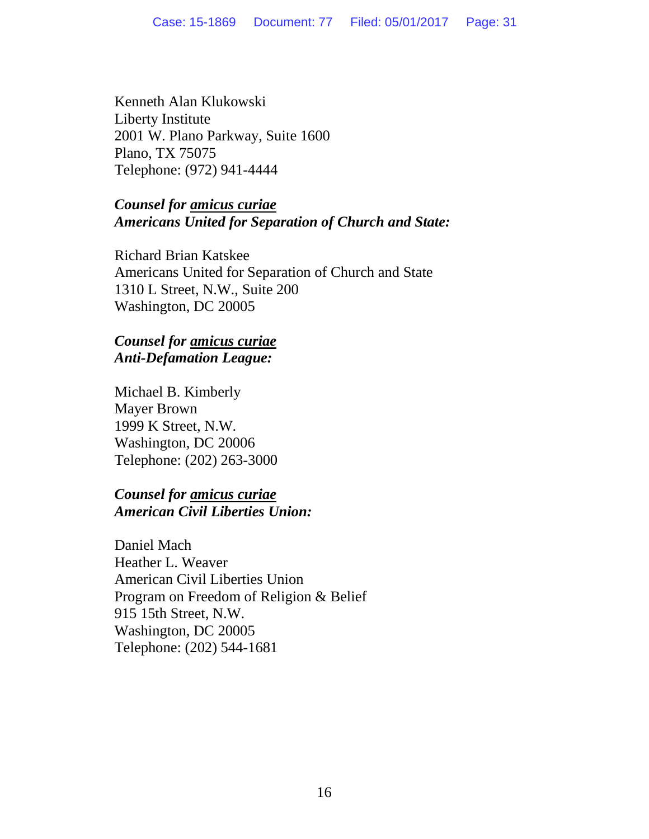Kenneth Alan Klukowski Liberty Institute 2001 W. Plano Parkway, Suite 1600 Plano, TX 75075 Telephone: (972) 941-4444

### *Counsel for amicus curiae Americans United for Separation of Church and State:*

Richard Brian Katskee Americans United for Separation of Church and State 1310 L Street, N.W., Suite 200 Washington, DC 20005

### *Counsel for amicus curiae Anti-Defamation League:*

Michael B. Kimberly Mayer Brown 1999 K Street, N.W. Washington, DC 20006 Telephone: (202) 263-3000

### *Counsel for amicus curiae American Civil Liberties Union:*

Daniel Mach Heather L. Weaver American Civil Liberties Union Program on Freedom of Religion & Belief 915 15th Street, N.W. Washington, DC 20005 Telephone: (202) 544-1681